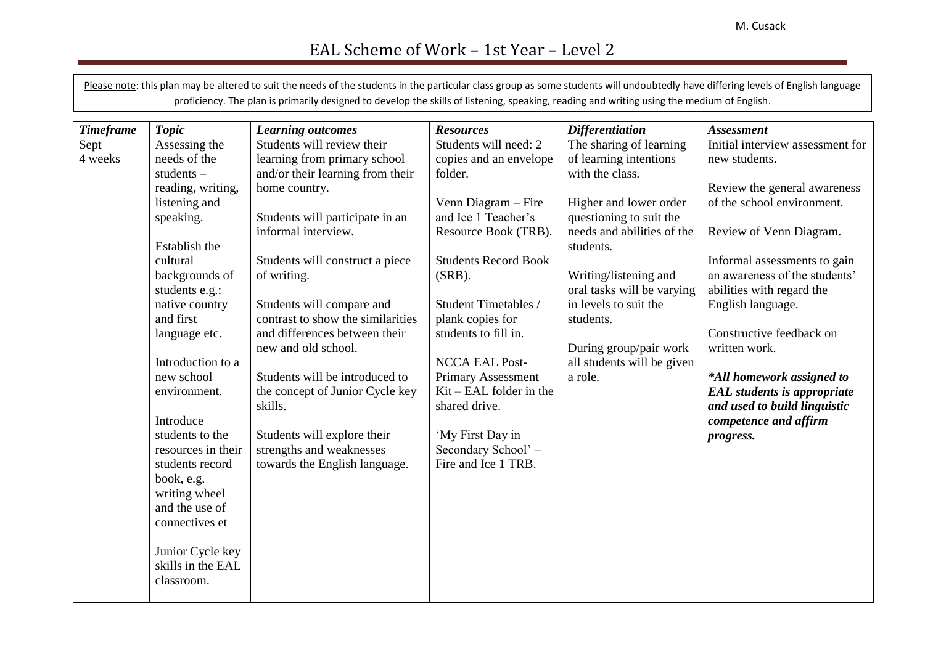Please note: this plan may be altered to suit the needs of the students in the particular class group as some students will undoubtedly have differing levels of English language proficiency. The plan is primarily designed to develop the skills of listening, speaking, reading and writing using the medium of English.

| <b>Timeframe</b> | <b>Topic</b>       | <b>Learning outcomes</b>                   | <b>Resources</b>                                       | <b>Differentiation</b>     | <b>Assessment</b>                                     |
|------------------|--------------------|--------------------------------------------|--------------------------------------------------------|----------------------------|-------------------------------------------------------|
| Sept             | Assessing the      | Students will review their                 | Students will need: 2                                  | The sharing of learning    | Initial interview assessment for                      |
| 4 weeks          | needs of the       | learning from primary school               | copies and an envelope                                 | of learning intentions     | new students.                                         |
|                  | students $-$       | and/or their learning from their           | folder.                                                | with the class.            |                                                       |
|                  | reading, writing,  | home country.                              |                                                        |                            | Review the general awareness                          |
|                  | listening and      |                                            | Venn Diagram – Fire                                    | Higher and lower order     | of the school environment.                            |
|                  | speaking.          | Students will participate in an            | and Ice 1 Teacher's                                    | questioning to suit the    |                                                       |
|                  |                    | informal interview.                        | Resource Book (TRB).                                   | needs and abilities of the | Review of Venn Diagram.                               |
|                  | Establish the      |                                            |                                                        | students.                  |                                                       |
|                  | cultural           | Students will construct a piece            | <b>Students Record Book</b>                            |                            | Informal assessments to gain                          |
|                  | backgrounds of     | of writing.                                | $(SRB)$ .                                              | Writing/listening and      | an awareness of the students'                         |
|                  | students e.g.:     |                                            |                                                        | oral tasks will be varying | abilities with regard the                             |
|                  | native country     | Students will compare and                  | Student Timetables /                                   | in levels to suit the      | English language.                                     |
|                  | and first          | contrast to show the similarities          | plank copies for                                       | students.                  |                                                       |
|                  | language etc.      | and differences between their              | students to fill in.                                   |                            | Constructive feedback on                              |
|                  |                    | new and old school.                        |                                                        | During group/pair work     | written work.                                         |
|                  | Introduction to a  |                                            | <b>NCCA EAL Post-</b>                                  | all students will be given |                                                       |
|                  | new school         | Students will be introduced to             | <b>Primary Assessment</b><br>$Kit - EAL$ folder in the | a role.                    | *All homework assigned to                             |
|                  | environment.       | the concept of Junior Cycle key<br>skills. | shared drive.                                          |                            | <b>EAL</b> students is appropriate                    |
|                  | Introduce          |                                            |                                                        |                            | and used to build linguistic<br>competence and affirm |
|                  | students to the    | Students will explore their                | 'My First Day in                                       |                            |                                                       |
|                  | resources in their | strengths and weaknesses                   | Secondary School' -                                    |                            | progress.                                             |
|                  | students record    | towards the English language.              | Fire and Ice 1 TRB.                                    |                            |                                                       |
|                  | book, e.g.         |                                            |                                                        |                            |                                                       |
|                  | writing wheel      |                                            |                                                        |                            |                                                       |
|                  | and the use of     |                                            |                                                        |                            |                                                       |
|                  | connectives et     |                                            |                                                        |                            |                                                       |
|                  |                    |                                            |                                                        |                            |                                                       |
|                  | Junior Cycle key   |                                            |                                                        |                            |                                                       |
|                  | skills in the EAL  |                                            |                                                        |                            |                                                       |
|                  | classroom.         |                                            |                                                        |                            |                                                       |
|                  |                    |                                            |                                                        |                            |                                                       |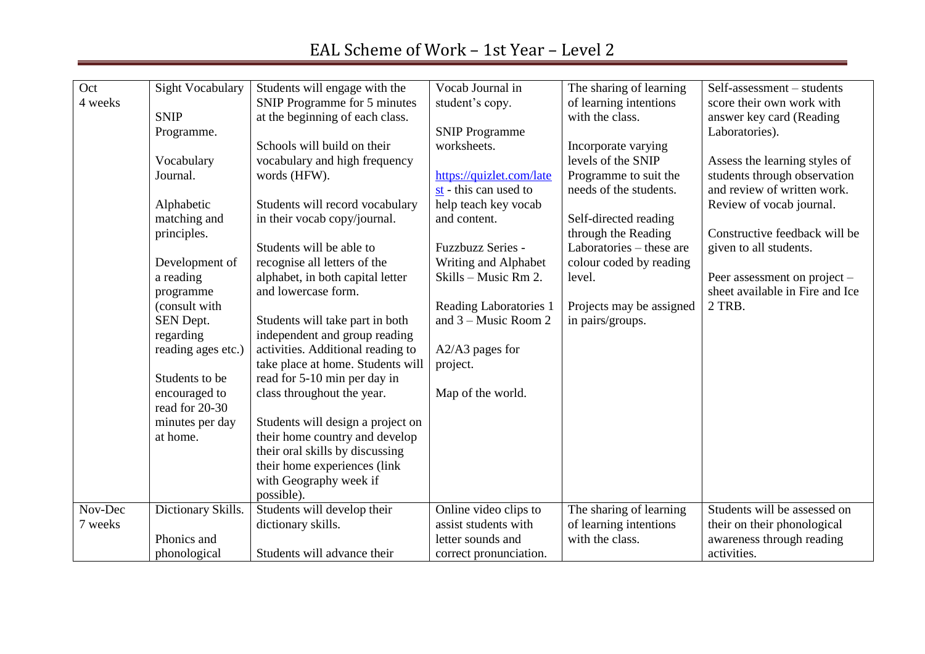| Oct     |                                 |                                   | Vocab Journal in              |                          |                                 |
|---------|---------------------------------|-----------------------------------|-------------------------------|--------------------------|---------------------------------|
|         | <b>Sight Vocabulary</b>         | Students will engage with the     |                               | The sharing of learning  | Self-assessment - students      |
| 4 weeks |                                 | SNIP Programme for 5 minutes      | student's copy.               | of learning intentions   | score their own work with       |
|         | <b>SNIP</b>                     | at the beginning of each class.   |                               | with the class.          | answer key card (Reading        |
|         | Programme.                      |                                   | <b>SNIP Programme</b>         |                          | Laboratories).                  |
|         |                                 | Schools will build on their       | worksheets.                   | Incorporate varying      |                                 |
|         | Vocabulary                      | vocabulary and high frequency     |                               | levels of the SNIP       | Assess the learning styles of   |
|         | Journal.                        | words (HFW).                      | https://quizlet.com/late      | Programme to suit the    | students through observation    |
|         |                                 |                                   | st - this can used to         | needs of the students.   | and review of written work.     |
|         | Alphabetic                      | Students will record vocabulary   | help teach key vocab          |                          | Review of vocab journal.        |
|         | matching and                    | in their vocab copy/journal.      | and content.                  | Self-directed reading    |                                 |
|         | principles.                     |                                   |                               | through the Reading      | Constructive feedback will be   |
|         |                                 | Students will be able to          | <b>Fuzzbuzz Series -</b>      | Laboratories – these are | given to all students.          |
|         | Development of                  | recognise all letters of the      | Writing and Alphabet          | colour coded by reading  |                                 |
|         | a reading                       | alphabet, in both capital letter  | Skills - Music Rm 2.          | level.                   | Peer assessment on project -    |
|         | programme                       | and lowercase form.               |                               |                          | sheet available in Fire and Ice |
|         | (consult with                   |                                   | <b>Reading Laboratories 1</b> | Projects may be assigned | 2 TRB.                          |
|         | SEN Dept.                       | Students will take part in both   | and $3 -$ Music Room 2        | in pairs/groups.         |                                 |
|         | regarding                       | independent and group reading     |                               |                          |                                 |
|         | reading ages etc.)              | activities. Additional reading to | $A2/A3$ pages for             |                          |                                 |
|         |                                 |                                   |                               |                          |                                 |
|         |                                 | take place at home. Students will | project.                      |                          |                                 |
|         | Students to be                  | read for 5-10 min per day in      |                               |                          |                                 |
|         | encouraged to<br>read for 20-30 | class throughout the year.        | Map of the world.             |                          |                                 |
|         | minutes per day                 | Students will design a project on |                               |                          |                                 |
|         | at home.                        | their home country and develop    |                               |                          |                                 |
|         |                                 | their oral skills by discussing   |                               |                          |                                 |
|         |                                 | their home experiences (link      |                               |                          |                                 |
|         |                                 | with Geography week if            |                               |                          |                                 |
|         |                                 |                                   |                               |                          |                                 |
|         |                                 | possible).                        |                               |                          |                                 |
| Nov-Dec | Dictionary Skills.              | Students will develop their       | Online video clips to         | The sharing of learning  | Students will be assessed on    |
| 7 weeks |                                 | dictionary skills.                | assist students with          | of learning intentions   | their on their phonological     |
|         | Phonics and                     |                                   | letter sounds and             | with the class.          | awareness through reading       |
|         | phonological                    | Students will advance their       | correct pronunciation.        |                          | activities.                     |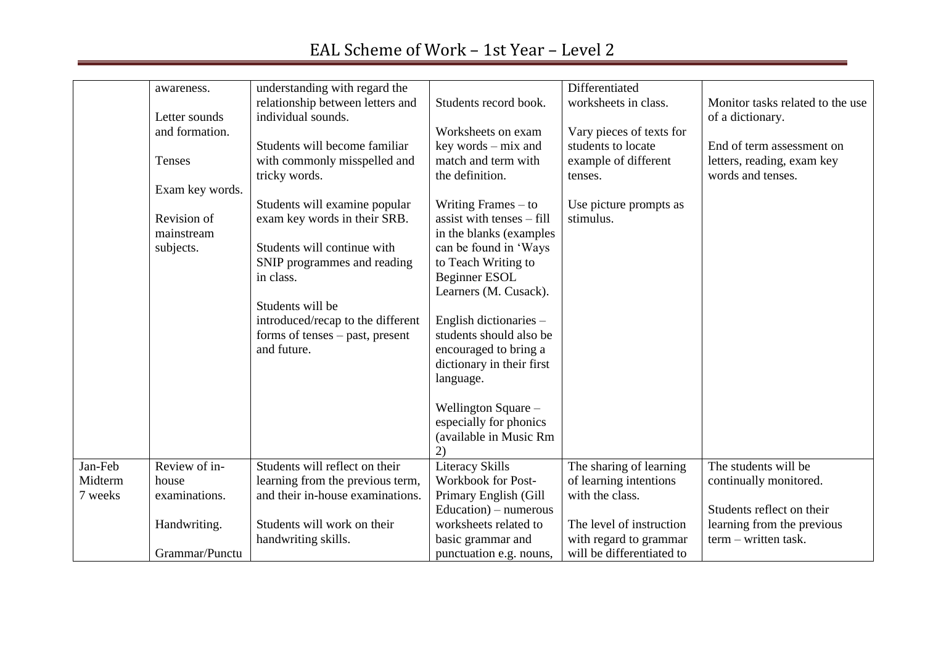#### awareness. Letter sounds and formation. Tenses Exam key words. Revision of mainstream subjects. understanding with regard the relationship between letters and individual sounds. Students will become familiar with commonly misspelled and tricky words. Students will examine popular exam key words in their SRB. Students will continue with SNIP programmes and reading in class. Students will be introduced/recap to the different forms of tenses – past, present and future. Students record book. Worksheets on exam key words – mix and match and term with the definition. Writing Frames – to assist with tenses – fill in the blanks (examples can be found in 'Ways to Teach Writing to Beginner ESOL Learners (M. Cusack). English dictionaries – students should also be encouraged to bring a dictionary in their first language. Wellington Square – especially for phonics (available in Music Rm 2) **Differentiated** worksheets in class. Vary pieces of texts for students to locate example of different tenses. Use picture prompts as stimulus. Monitor tasks related to the use of a dictionary. End of term assessment on letters, reading, exam key words and tenses. Jan-Feb Midterm 7 weeks Review of inhouse examinations. Handwriting. Grammar/Punctu Students will reflect on their learning from the previous term, and their in-house examinations. Students will work on their handwriting skills. Literacy Skills Workbook for Post-Primary English (Gill Education) – numerous worksheets related to basic grammar and punctuation e.g. nouns, The sharing of learning of learning intentions with the class. The level of instruction with regard to grammar will be differentiated to The students will be continually monitored. Students reflect on their learning from the previous term – written task.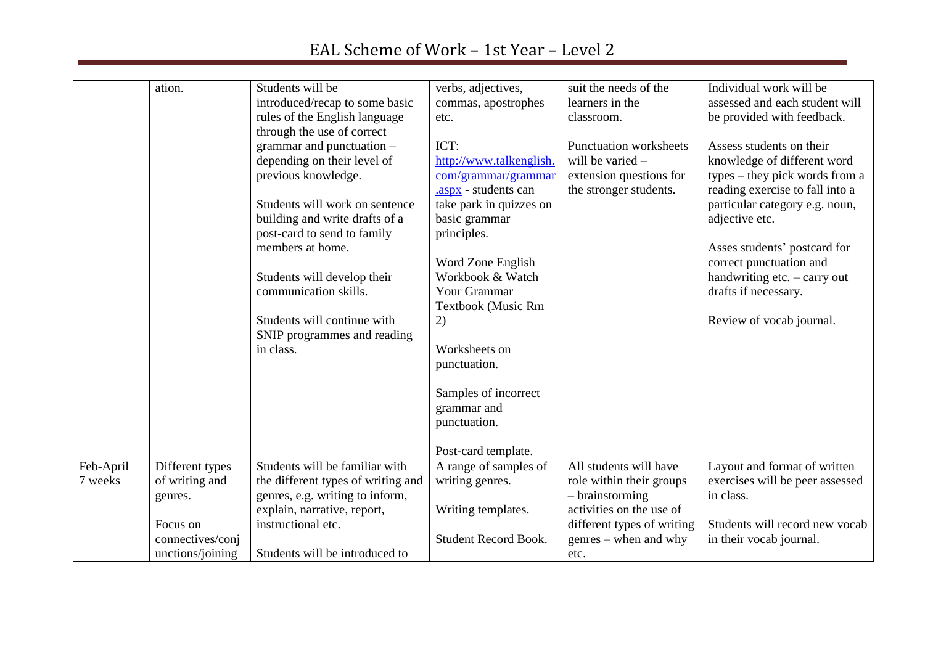|           | ation.           | Students will be                   | verbs, adjectives,          | suit the needs of the         | Individual work will be         |
|-----------|------------------|------------------------------------|-----------------------------|-------------------------------|---------------------------------|
|           |                  | introduced/recap to some basic     | commas, apostrophes         | learners in the               | assessed and each student will  |
|           |                  | rules of the English language      | etc.                        | classroom.                    | be provided with feedback.      |
|           |                  | through the use of correct         |                             |                               |                                 |
|           |                  | grammar and punctuation $-$        | ICT:                        | <b>Punctuation worksheets</b> | Assess students on their        |
|           |                  | depending on their level of        | http://www.talkenglish.     | will be varied $-$            | knowledge of different word     |
|           |                  | previous knowledge.                | com/grammar/grammar         | extension questions for       | types – they pick words from a  |
|           |                  |                                    | .aspx - students can        | the stronger students.        | reading exercise to fall into a |
|           |                  | Students will work on sentence     | take park in quizzes on     |                               | particular category e.g. noun,  |
|           |                  | building and write drafts of a     | basic grammar               |                               | adjective etc.                  |
|           |                  | post-card to send to family        | principles.                 |                               |                                 |
|           |                  | members at home.                   |                             |                               | Asses students' postcard for    |
|           |                  |                                    | Word Zone English           |                               | correct punctuation and         |
|           |                  | Students will develop their        | Workbook & Watch            |                               | handwriting etc. - carry out    |
|           |                  | communication skills.              | <b>Your Grammar</b>         |                               | drafts if necessary.            |
|           |                  |                                    | Textbook (Music Rm          |                               |                                 |
|           |                  | Students will continue with        | 2)                          |                               | Review of vocab journal.        |
|           |                  | SNIP programmes and reading        |                             |                               |                                 |
|           |                  | in class.                          | Worksheets on               |                               |                                 |
|           |                  |                                    | punctuation.                |                               |                                 |
|           |                  |                                    |                             |                               |                                 |
|           |                  |                                    | Samples of incorrect        |                               |                                 |
|           |                  |                                    | grammar and                 |                               |                                 |
|           |                  |                                    |                             |                               |                                 |
|           |                  |                                    | punctuation.                |                               |                                 |
|           |                  |                                    |                             |                               |                                 |
|           |                  |                                    | Post-card template.         |                               |                                 |
| Feb-April | Different types  | Students will be familiar with     | A range of samples of       | All students will have        | Layout and format of written    |
| 7 weeks   | of writing and   | the different types of writing and | writing genres.             | role within their groups      | exercises will be peer assessed |
|           | genres.          | genres, e.g. writing to inform,    |                             | $-$ brainstorming             | in class.                       |
|           |                  | explain, narrative, report,        | Writing templates.          | activities on the use of      |                                 |
|           | Focus on         | instructional etc.                 |                             | different types of writing    | Students will record new vocab  |
|           | connectives/conj |                                    | <b>Student Record Book.</b> | $g$ enres – when and why      | in their vocab journal.         |
|           | unctions/joining | Students will be introduced to     |                             | etc.                          |                                 |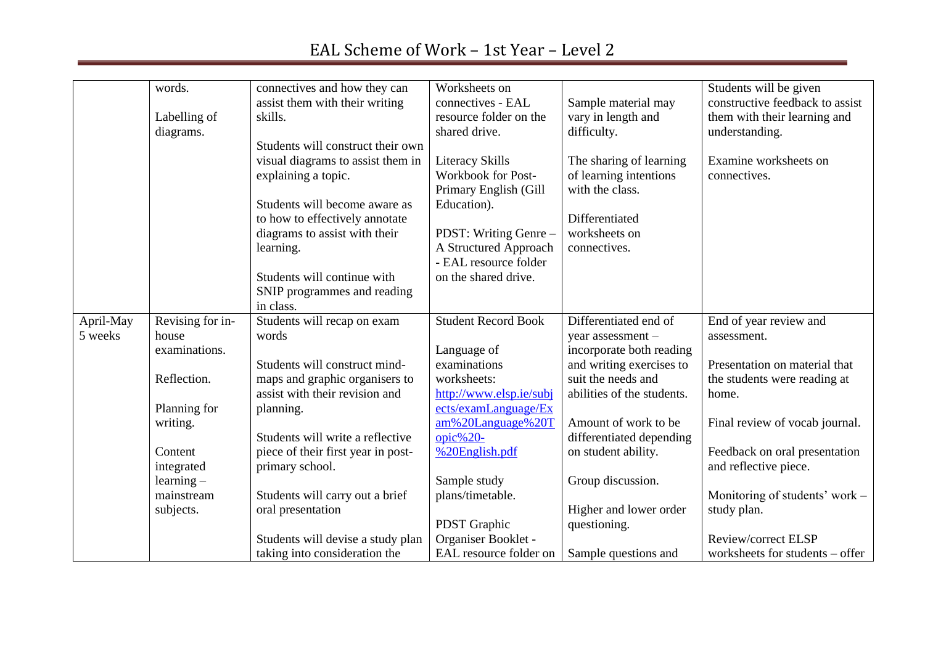|           | words.           | connectives and how they can       | Worksheets on              |                            | Students will be given          |
|-----------|------------------|------------------------------------|----------------------------|----------------------------|---------------------------------|
|           |                  | assist them with their writing     | connectives - EAL          | Sample material may        | constructive feedback to assist |
|           | Labelling of     | skills.                            | resource folder on the     | vary in length and         | them with their learning and    |
|           | diagrams.        |                                    | shared drive.              | difficulty.                | understanding.                  |
|           |                  | Students will construct their own  |                            |                            |                                 |
|           |                  | visual diagrams to assist them in  | <b>Literacy Skills</b>     | The sharing of learning    | Examine worksheets on           |
|           |                  | explaining a topic.                | Workbook for Post-         | of learning intentions     | connectives.                    |
|           |                  |                                    | Primary English (Gill      | with the class.            |                                 |
|           |                  | Students will become aware as      | Education).                |                            |                                 |
|           |                  | to how to effectively annotate     |                            | Differentiated             |                                 |
|           |                  | diagrams to assist with their      | PDST: Writing Genre -      | worksheets on              |                                 |
|           |                  | learning.                          | A Structured Approach      | connectives.               |                                 |
|           |                  |                                    | - EAL resource folder      |                            |                                 |
|           |                  | Students will continue with        | on the shared drive.       |                            |                                 |
|           |                  | SNIP programmes and reading        |                            |                            |                                 |
|           |                  | in class.                          |                            |                            |                                 |
| April-May | Revising for in- | Students will recap on exam        | <b>Student Record Book</b> | Differentiated end of      | End of year review and          |
| 5 weeks   | house            | words                              |                            | year assessment -          | assessment.                     |
|           | examinations.    |                                    | Language of                | incorporate both reading   |                                 |
|           |                  | Students will construct mind-      | examinations               | and writing exercises to   | Presentation on material that   |
|           | Reflection.      | maps and graphic organisers to     | worksheets:                | suit the needs and         | the students were reading at    |
|           |                  | assist with their revision and     | http://www.elsp.ie/subj    | abilities of the students. | home.                           |
|           | Planning for     | planning.                          | ects/examLanguage/Ex       |                            |                                 |
|           | writing.         |                                    | am%20Language%20T          | Amount of work to be       | Final review of vocab journal.  |
|           |                  | Students will write a reflective   | opic% $20-$                | differentiated depending   |                                 |
|           | Content          | piece of their first year in post- | %20English.pdf             | on student ability.        | Feedback on oral presentation   |
|           | integrated       | primary school.                    |                            |                            | and reflective piece.           |
|           | $learning -$     |                                    | Sample study               | Group discussion.          |                                 |
|           | mainstream       | Students will carry out a brief    | plans/timetable.           |                            | Monitoring of students' work –  |
|           | subjects.        | oral presentation                  |                            | Higher and lower order     | study plan.                     |
|           |                  |                                    | PDST Graphic               | questioning.               |                                 |
|           |                  | Students will devise a study plan  | Organiser Booklet -        |                            | Review/correct ELSP             |
|           |                  | taking into consideration the      | EAL resource folder on     | Sample questions and       | worksheets for students - offer |